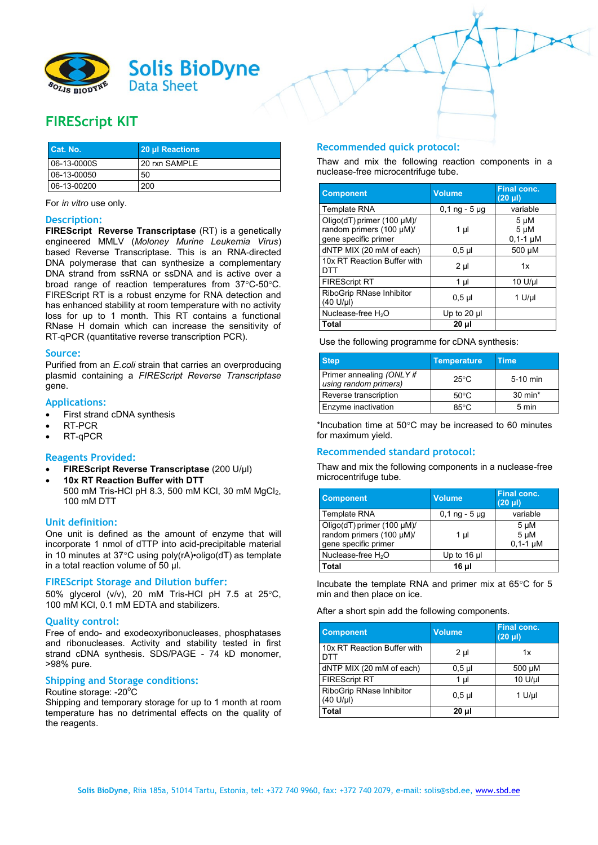

# **FIREScript KIT**

| Cat. No.      | 20 µl Reactions |
|---------------|-----------------|
| $06-13-0000S$ | 20 rxn SAMPLE   |
| 06-13-00050   | 50              |
| 06-13-00200   | 200             |

For *in vitro* use only.

### **Description:**

**FIREScript Reverse Transcriptase** (RT) is a genetically engineered MMLV (*Moloney Murine Leukemia Virus*) based Reverse Transcriptase. This is an RNA‐directed DNA polymerase that can synthesize a complementary DNA strand from ssRNA or ssDNA and is active over a broad range of reaction temperatures from  $37^{\circ}$ C-50 $^{\circ}$ C. FIREScript RT is a robust enzyme for RNA detection and has enhanced stability at room temperature with no activity loss for up to 1 month. This RT contains a functional RNase H domain which can increase the sensitivity of RT‐qPCR (quantitative reverse transcription PCR).

#### **Source:**

Purified from an *E.coli* strain that carries an overproducing plasmid containing a *FIREScript Reverse Transcriptase* gene.

### **Applications:**

- First strand cDNA synthesis
- RT-PCR
- RT-qPCR

### **Reagents Provided:**

- **FIREScript Reverse Transcriptase** (200 U/μl)
- **10x RT Reaction Buffer with DTT** 500 mM Tris-HCl pH 8.3, 500 mM KCl, 30 mM MgCl<sub>2</sub>, 100 mM DTT

# **Unit definition:**

One unit is defined as the amount of enzyme that will incorporate 1 nmol of dTTP into acid-precipitable material in 10 minutes at 37°C using poly( $rA$ )•oligo( $dT$ ) as template in a total reaction volume of 50 μl.

### **FIREScript Storage and Dilution buffer:**

50% glycerol ( $v/v$ ), 20 mM Tris-HCl pH 7.5 at 25 $^{\circ}$ C, 100 mM KCl, 0.1 mM EDTA and stabilizers.

### **Quality control:**

Free of endo- and exodeoxyribonucleases, phosphatases and ribonucleases. Activity and stability tested in first strand cDNA synthesis. SDS/PAGE - 74 kD monomer, >98% pure.

## **Shipping and Storage conditions:**

#### Routine storage: -20°C

Shipping and temporary storage for up to 1 month at room temperature has no detrimental effects on the quality of the reagents.

# **Recommended quick protocol:**

Thaw and mix the following reaction components in a nuclease-free microcentrifuge tube.

| <b>Component</b>                                                               | <b>Volume</b>   | <b>Final conc.</b><br>$(20 \mu l)$ |
|--------------------------------------------------------------------------------|-----------------|------------------------------------|
| Template RNA                                                                   | $0,1$ ng - 5 µg | variable                           |
| Oligo(dT) primer (100 µM)/<br>random primers (100 µM)/<br>gene specific primer | $1 \mu$         | 5 µM<br>$5 \mu M$<br>$0,1-1 \mu M$ |
| dNTP MIX (20 mM of each)                                                       | $0.5$ µl        | 500 µM                             |
| 10x RT Reaction Buffer with<br>DTT                                             | 2 µl            | 1x                                 |
| <b>FIREScript RT</b>                                                           | $1 \mu$         | 10 U/µl                            |
| RiboGrip RNase Inhibitor<br>$(40 \text{ U/}\mu l)$                             | $0.5$ µl        | $1$ U/µl                           |
| Nuclease-free H <sub>2</sub> O                                                 | Up to 20 $\mu$  |                                    |
| <b>Total</b>                                                                   | 20 µl           |                                    |

Use the following programme for cDNA synthesis:

| <b>Step</b>                                        | <b>Temperature</b> | Time       |
|----------------------------------------------------|--------------------|------------|
| Primer annealing (ONLY if<br>using random primers) | $25^{\circ}$ C     | $5-10$ min |
| Reverse transcription                              | $50^{\circ}$ C     | 30 min*    |
| Enzyme inactivation                                | $85^{\circ}$ C     | 5 min      |

\*Incubation time at  $50^{\circ}$ C may be increased to 60 minutes for maximum yield.

# **Recommended standard protocol:**

Thaw and mix the following components in a nuclease-free microcentrifuge tube.

| <b>Component</b>                                                               | <b>Volume</b>   | <b>Final conc.</b><br>$(20 \mu I)$        |
|--------------------------------------------------------------------------------|-----------------|-------------------------------------------|
| Template RNA                                                                   | $0,1$ ng - 5 µg | variable                                  |
| Oligo(dT) primer (100 µM)/<br>random primers (100 µM)/<br>gene specific primer | 1 µl            | $5 \mu M$<br>$5 \mu M$<br>$0.1 - 1 \mu M$ |
| Nuclease-free H <sub>2</sub> O                                                 | Up to $16$ µ    |                                           |
| Total                                                                          | 16 µl           |                                           |

Incubate the template RNA and primer mix at  $65^{\circ}$ C for 5 min and then place on ice.

After a short spin add the following components.

| <b>Component</b>                      | <b>Volume</b>  | Final conc.<br>$(20 \mu l)$ |
|---------------------------------------|----------------|-----------------------------|
| 10x RT Reaction Buffer with<br>DTT    | 2 <sub>µ</sub> | 1x                          |
| dNTP MIX (20 mM of each)              | $0,5$ µl       | 500 µM                      |
| <b>FIREScript RT</b>                  | 1 µl           | 10 U/µl                     |
| RiboGrip RNase Inhibitor<br>(40 U/µl) | $0.5$ µl       | $1$ U/µl                    |
| Total                                 | $20 \mu$       |                             |